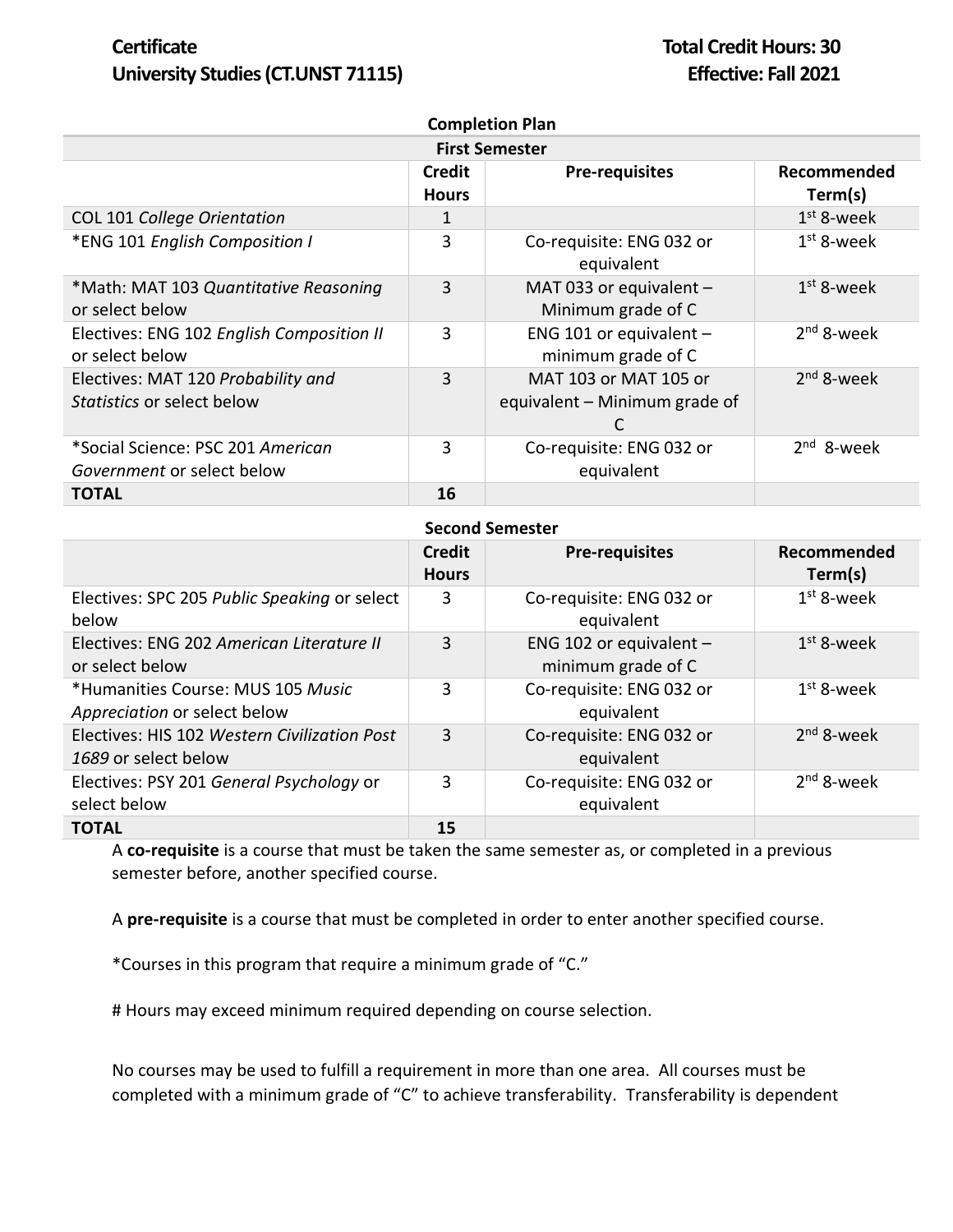# **Certificate Total Credit Hours: 30 University Studies (CT.UNST 71115) Effective: Fall 2021**

| <b>Completion Plan</b>                                                  |                               |                                                        |                        |  |  |
|-------------------------------------------------------------------------|-------------------------------|--------------------------------------------------------|------------------------|--|--|
| <b>First Semester</b>                                                   |                               |                                                        |                        |  |  |
|                                                                         | <b>Credit</b><br><b>Hours</b> | <b>Pre-requisites</b>                                  | Recommended<br>Term(s) |  |  |
| COL 101 College Orientation                                             | 1                             |                                                        | $1st$ 8-week           |  |  |
| *ENG 101 English Composition I                                          | 3                             | Co-requisite: ENG 032 or<br>equivalent                 | $1st$ 8-week           |  |  |
| *Math: MAT 103 Quantitative Reasoning<br>or select below                | 3                             | MAT 033 or equivalent -<br>Minimum grade of C          | $1st$ 8-week           |  |  |
| Electives: ENG 102 English Composition II<br>or select below            | 3                             | ENG 101 or equivalent -<br>minimum grade of C          | $2nd$ 8-week           |  |  |
| Electives: MAT 120 Probability and<br><i>Statistics</i> or select below | 3                             | MAT 103 or MAT 105 or<br>equivalent – Minimum grade of | $2nd$ 8-week           |  |  |
| *Social Science: PSC 201 American                                       | 3                             | Co-requisite: ENG 032 or                               | $2nd$ 8-week           |  |  |
| Government or select below                                              |                               | equivalent                                             |                        |  |  |
| <b>TOTAL</b>                                                            | 16                            |                                                        |                        |  |  |

#### **Second Semester**

|                                                                      | <b>Credit</b><br><b>Hours</b> | <b>Pre-requisites</b>                           | Recommended<br>Term(s) |
|----------------------------------------------------------------------|-------------------------------|-------------------------------------------------|------------------------|
| Electives: SPC 205 Public Speaking or select<br>below                | 3                             | Co-requisite: ENG 032 or<br>equivalent          | $1st$ 8-week           |
| Electives: ENG 202 American Literature II<br>or select below         | 3                             | ENG 102 or equivalent $-$<br>minimum grade of C | $1st$ 8-week           |
| *Humanities Course: MUS 105 Music<br>Appreciation or select below    | 3                             | Co-requisite: ENG 032 or<br>equivalent          | $1st$ 8-week           |
| Electives: HIS 102 Western Civilization Post<br>1689 or select below | 3                             | Co-requisite: ENG 032 or<br>equivalent          | $2nd$ 8-week           |
| Electives: PSY 201 General Psychology or<br>select below             | 3                             | Co-requisite: ENG 032 or<br>equivalent          | $2nd$ 8-week           |
| <b>TOTAL</b>                                                         | 15                            |                                                 |                        |

A **co-requisite** is a course that must be taken the same semester as, or completed in a previous semester before, another specified course.

A **pre-requisite** is a course that must be completed in order to enter another specified course.

\*Courses in this program that require a minimum grade of "C."

# Hours may exceed minimum required depending on course selection.

No courses may be used to fulfill a requirement in more than one area. All courses must be completed with a minimum grade of "C" to achieve transferability. Transferability is dependent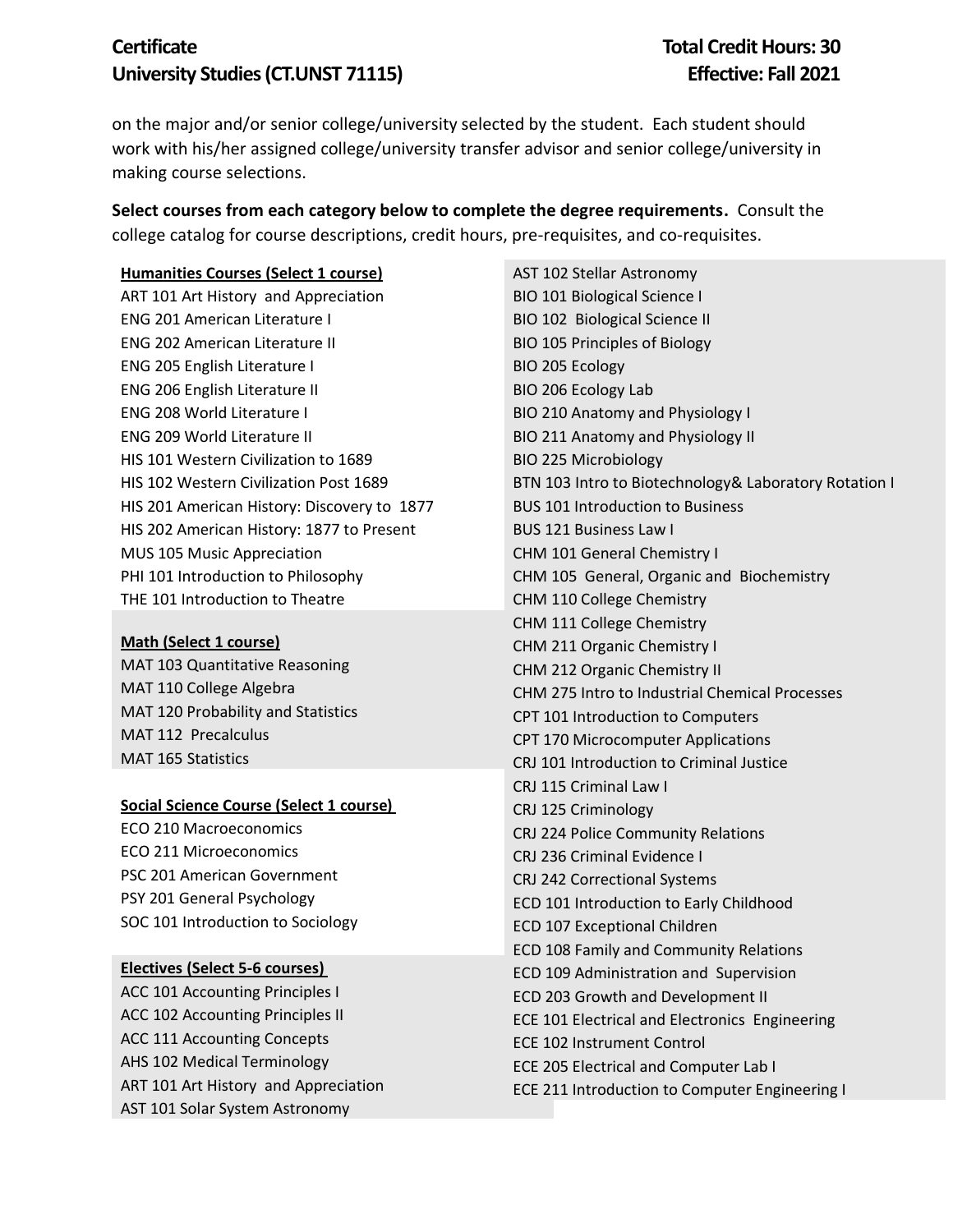# **Certificate Total Credit Hours: 30 University Studies (CT.UNST 71115) Effective: Fall 2021**

on the major and/or senior college/university selected by the student. Each student should work with his/her assigned college/university transfer advisor and senior college/university in making course selections.

**Select courses from each category below to complete the degree requirements.** Consult the college catalog for course descriptions, credit hours, pre-requisites, and co-requisites.

#### **Humanities Courses (Select 1 course)**

ART 101 Art History and Appreciation ENG 201 American Literature I ENG 202 American Literature II ENG 205 English Literature I ENG 206 English Literature II ENG 208 World Literature I ENG 209 World Literature II HIS 101 Western Civilization to 1689 HIS 102 Western Civilization Post 1689 HIS 201 American History: Discovery to 1877 HIS 202 American History: 1877 to Present MUS 105 Music Appreciation PHI 101 Introduction to Philosophy THE 101 Introduction to Theatre

#### **Math (Select 1 course)**

MAT 103 Quantitative Reasoning MAT 110 College Algebra MAT 120 Probability and Statistics MAT 112 Precalculus MAT 165 Statistics

#### **Social Science Course (Select 1 course)**

ECO 210 Macroeconomics ECO 211 Microeconomics PSC 201 American Government PSY 201 General Psychology SOC 101 Introduction to Sociology

### **Electives (Select 5-6 courses)**

ACC 101 Accounting Principles I ACC 102 Accounting Principles II ACC 111 Accounting Concepts AHS 102 Medical Terminology ART 101 Art History and Appreciation AST 101 Solar System Astronomy

AST 102 Stellar Astronomy BIO 101 Biological Science I BIO 102 Biological Science II BIO 105 Principles of Biology BIO 205 Ecology BIO 206 Ecology Lab BIO 210 Anatomy and Physiology I BIO 211 Anatomy and Physiology II BIO 225 Microbiology BTN 103 Intro to Biotechnology& Laboratory Rotation I BUS 101 Introduction to Business BUS 121 Business Law I CHM 101 General Chemistry I CHM 105 General, Organic and Biochemistry CHM 110 College Chemistry CHM 111 College Chemistry CHM 211 Organic Chemistry I CHM 212 Organic Chemistry II CHM 275 Intro to Industrial Chemical Processes CPT 101 Introduction to Computers CPT 170 Microcomputer Applications CRJ 101 Introduction to Criminal Justice CRJ 115 Criminal Law I CRJ 125 Criminology CRJ 224 Police Community Relations CRJ 236 Criminal Evidence I CRJ 242 Correctional Systems ECD 101 Introduction to Early Childhood ECD 107 Exceptional Children ECD 108 Family and Community Relations ECD 109 Administration and Supervision ECD 203 Growth and Development II ECE 101 Electrical and Electronics Engineering ECE 102 Instrument Control ECE 205 Electrical and Computer Lab I ECE 211 Introduction to Computer Engineering I